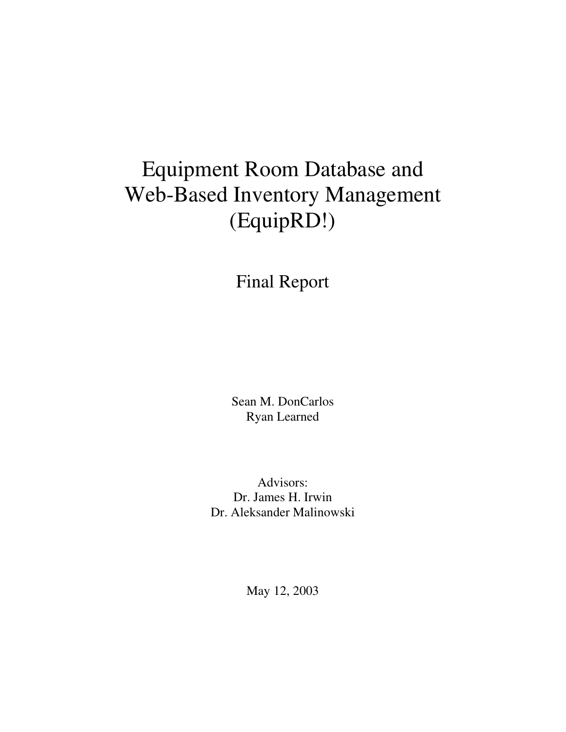# Equipment Room Database and Web-Based Inventory Management (EquipRD!)

Final Report

Sean M. DonCarlos Ryan Learned

Advisors: Dr. James H. Irwin Dr. Aleksander Malinowski

May 12, 2003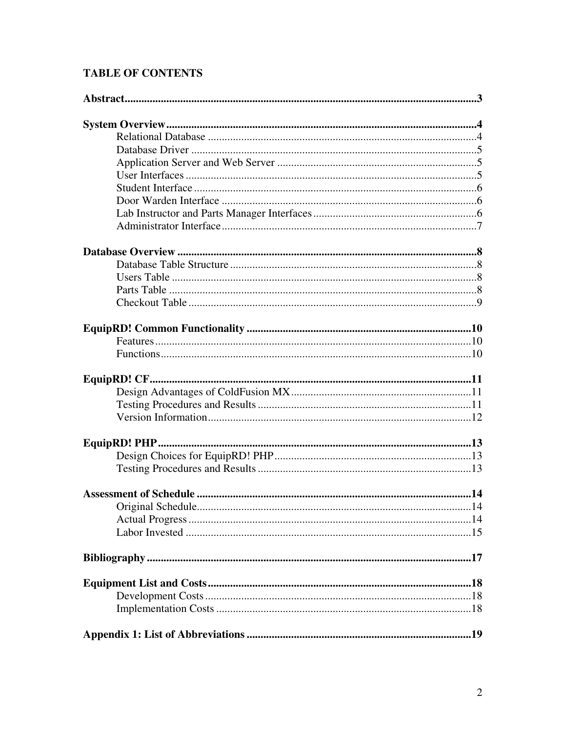# **TABLE OF CONTENTS**

| Original Schedule. |  |
|--------------------|--|
|                    |  |
|                    |  |
|                    |  |
|                    |  |
|                    |  |
|                    |  |
|                    |  |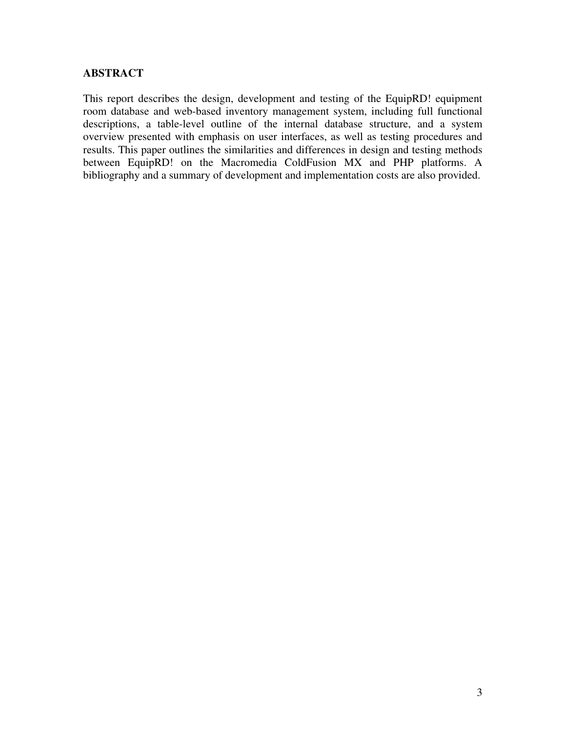#### **ABSTRACT**

This report describes the design, development and testing of the EquipRD! equipment room database and web-based inventory management system, including full functional descriptions, a table-level outline of the internal database structure, and a system overview presented with emphasis on user interfaces, as well as testing procedures and results. This paper outlines the similarities and differences in design and testing methods between EquipRD! on the Macromedia ColdFusion MX and PHP platforms. A bibliography and a summary of development and implementation costs are also provided.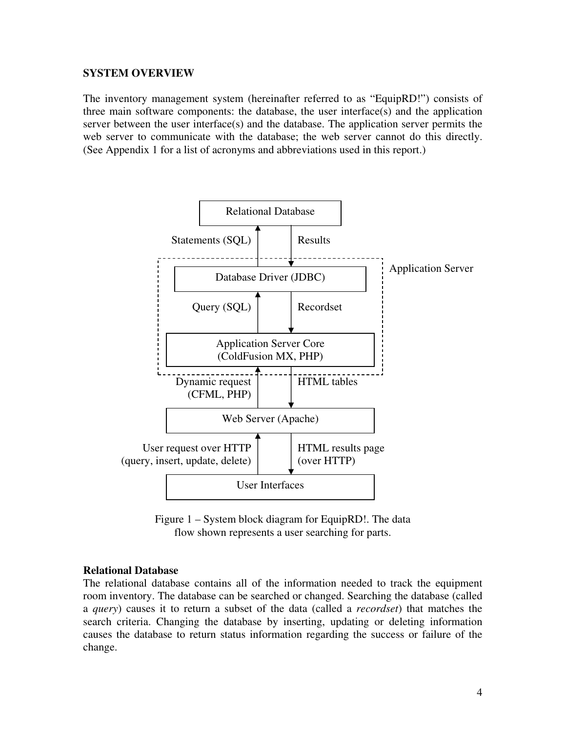#### **SYSTEM OVERVIEW**

The inventory management system (hereinafter referred to as "EquipRD!") consists of three main software components: the database, the user interface(s) and the application server between the user interface(s) and the database. The application server permits the web server to communicate with the database; the web server cannot do this directly. (See Appendix 1 for a list of acronyms and abbreviations used in this report.)



Figure 1 – System block diagram for EquipRD!. The data flow shown represents a user searching for parts.

#### **Relational Database**

The relational database contains all of the information needed to track the equipment room inventory. The database can be searched or changed. Searching the database (called a *query*) causes it to return a subset of the data (called a *recordset*) that matches the search criteria. Changing the database by inserting, updating or deleting information causes the database to return status information regarding the success or failure of the change.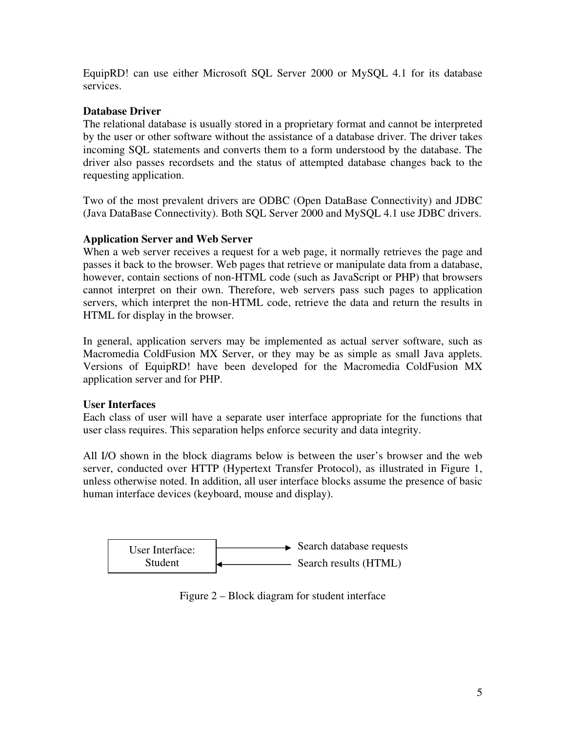EquipRD! can use either Microsoft SQL Server 2000 or MySQL 4.1 for its database services.

# **Database Driver**

The relational database is usually stored in a proprietary format and cannot be interpreted by the user or other software without the assistance of a database driver. The driver takes incoming SQL statements and converts them to a form understood by the database. The driver also passes recordsets and the status of attempted database changes back to the requesting application.

Two of the most prevalent drivers are ODBC (Open DataBase Connectivity) and JDBC (Java DataBase Connectivity). Both SQL Server 2000 and MySQL 4.1 use JDBC drivers.

# **Application Server and Web Server**

When a web server receives a request for a web page, it normally retrieves the page and passes it back to the browser. Web pages that retrieve or manipulate data from a database, however, contain sections of non-HTML code (such as JavaScript or PHP) that browsers cannot interpret on their own. Therefore, web servers pass such pages to application servers, which interpret the non-HTML code, retrieve the data and return the results in HTML for display in the browser.

In general, application servers may be implemented as actual server software, such as Macromedia ColdFusion MX Server, or they may be as simple as small Java applets. Versions of EquipRD! have been developed for the Macromedia ColdFusion MX application server and for PHP.

# **User Interfaces**

Each class of user will have a separate user interface appropriate for the functions that user class requires. This separation helps enforce security and data integrity.

All I/O shown in the block diagrams below is between the user's browser and the web server, conducted over HTTP (Hypertext Transfer Protocol), as illustrated in Figure 1, unless otherwise noted. In addition, all user interface blocks assume the presence of basic human interface devices (keyboard, mouse and display).



Figure 2 – Block diagram for student interface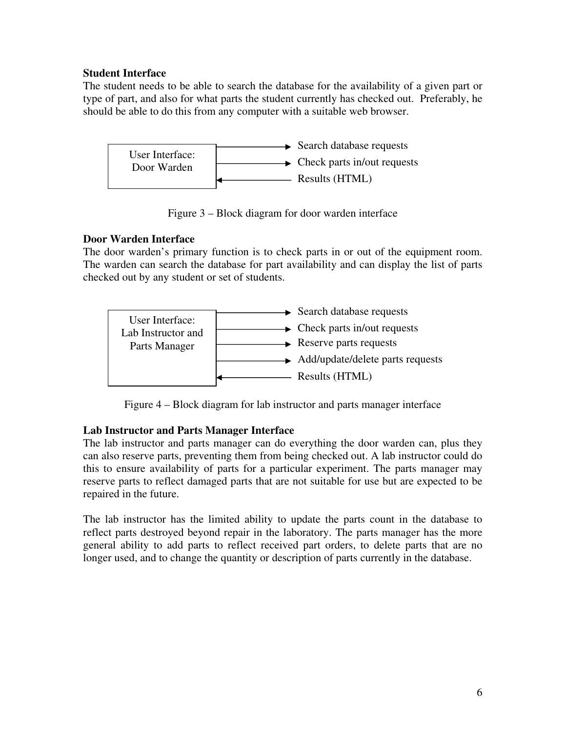#### **Student Interface**

The student needs to be able to search the database for the availability of a given part or type of part, and also for what parts the student currently has checked out. Preferably, he should be able to do this from any computer with a suitable web browser.



Figure 3 – Block diagram for door warden interface

# **Door Warden Interface**

The door warden's primary function is to check parts in or out of the equipment room. The warden can search the database for part availability and can display the list of parts checked out by any student or set of students.



Figure 4 – Block diagram for lab instructor and parts manager interface

# **Lab Instructor and Parts Manager Interface**

The lab instructor and parts manager can do everything the door warden can, plus they can also reserve parts, preventing them from being checked out. A lab instructor could do this to ensure availability of parts for a particular experiment. The parts manager may reserve parts to reflect damaged parts that are not suitable for use but are expected to be repaired in the future.

The lab instructor has the limited ability to update the parts count in the database to reflect parts destroyed beyond repair in the laboratory. The parts manager has the more general ability to add parts to reflect received part orders, to delete parts that are no longer used, and to change the quantity or description of parts currently in the database.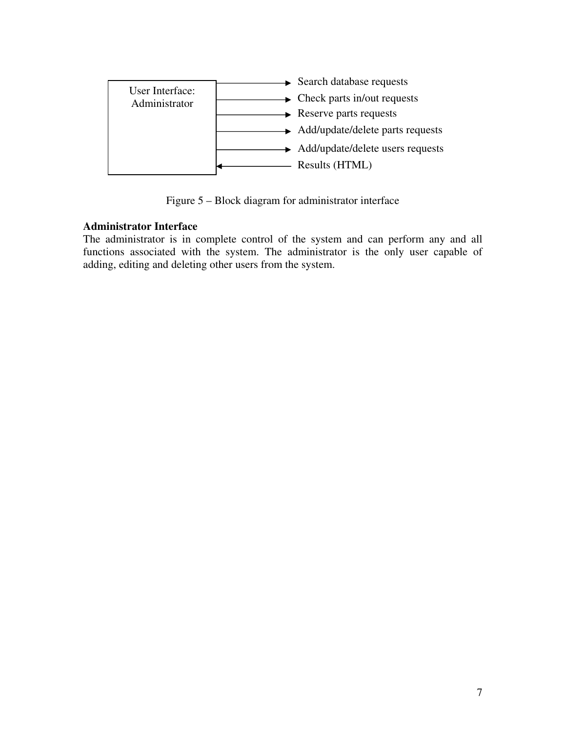

Figure 5 – Block diagram for administrator interface

# **Administrator Interface**

The administrator is in complete control of the system and can perform any and all functions associated with the system. The administrator is the only user capable of adding, editing and deleting other users from the system.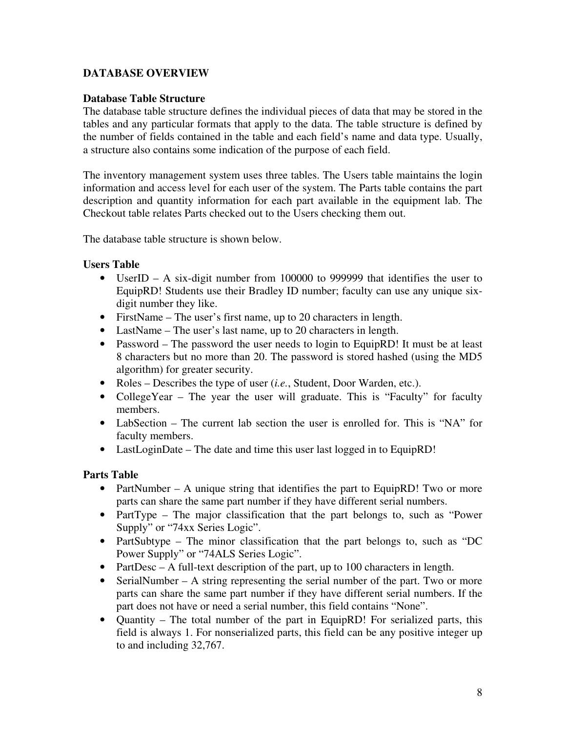# **DATABASE OVERVIEW**

#### **Database Table Structure**

The database table structure defines the individual pieces of data that may be stored in the tables and any particular formats that apply to the data. The table structure is defined by the number of fields contained in the table and each field's name and data type. Usually, a structure also contains some indication of the purpose of each field.

The inventory management system uses three tables. The Users table maintains the login information and access level for each user of the system. The Parts table contains the part description and quantity information for each part available in the equipment lab. The Checkout table relates Parts checked out to the Users checking them out.

The database table structure is shown below.

#### **Users Table**

- UserID A six-digit number from 100000 to 999999 that identifies the user to EquipRD! Students use their Bradley ID number; faculty can use any unique sixdigit number they like.
- FirstName The user's first name, up to 20 characters in length.
- LastName The user's last name, up to 20 characters in length.
- Password The password the user needs to login to EquipRD! It must be at least 8 characters but no more than 20. The password is stored hashed (using the MD5 algorithm) for greater security.
- Roles Describes the type of user (*i.e.*, Student, Door Warden, etc.).
- CollegeYear The year the user will graduate. This is "Faculty" for faculty members.
- LabSection The current lab section the user is enrolled for. This is "NA" for faculty members.
- LastLoginDate The date and time this user last logged in to EquipRD!

# **Parts Table**

- PartNumber A unique string that identifies the part to EquipRD! Two or more parts can share the same part number if they have different serial numbers.
- PartType The major classification that the part belongs to, such as "Power" Supply" or "74xx Series Logic".
- PartSubtype The minor classification that the part belongs to, such as "DC Power Supply" or "74ALS Series Logic".
- PartDesc A full-text description of the part, up to 100 characters in length.
- SerialNumber A string representing the serial number of the part. Two or more parts can share the same part number if they have different serial numbers. If the part does not have or need a serial number, this field contains "None".
- Quantity The total number of the part in EquipRD! For serialized parts, this field is always 1. For nonserialized parts, this field can be any positive integer up to and including 32,767.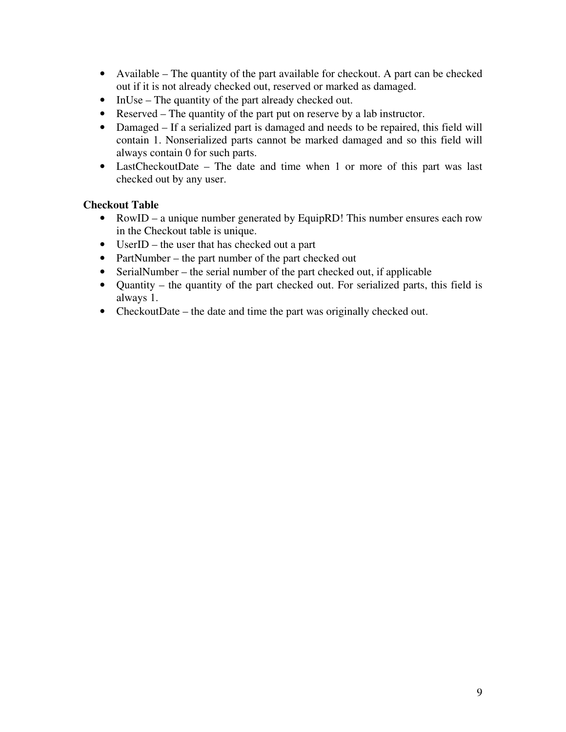- Available The quantity of the part available for checkout. A part can be checked out if it is not already checked out, reserved or marked as damaged.
- InUse The quantity of the part already checked out.
- Reserved The quantity of the part put on reserve by a lab instructor.
- Damaged If a serialized part is damaged and needs to be repaired, this field will contain 1. Nonserialized parts cannot be marked damaged and so this field will always contain 0 for such parts.
- LastCheckoutDate The date and time when 1 or more of this part was last checked out by any user.

# **Checkout Table**

- RowID a unique number generated by EquipRD! This number ensures each row in the Checkout table is unique.
- UserID the user that has checked out a part
- PartNumber the part number of the part checked out
- SerialNumber the serial number of the part checked out, if applicable
- Quantity the quantity of the part checked out. For serialized parts, this field is always 1.
- CheckoutDate the date and time the part was originally checked out.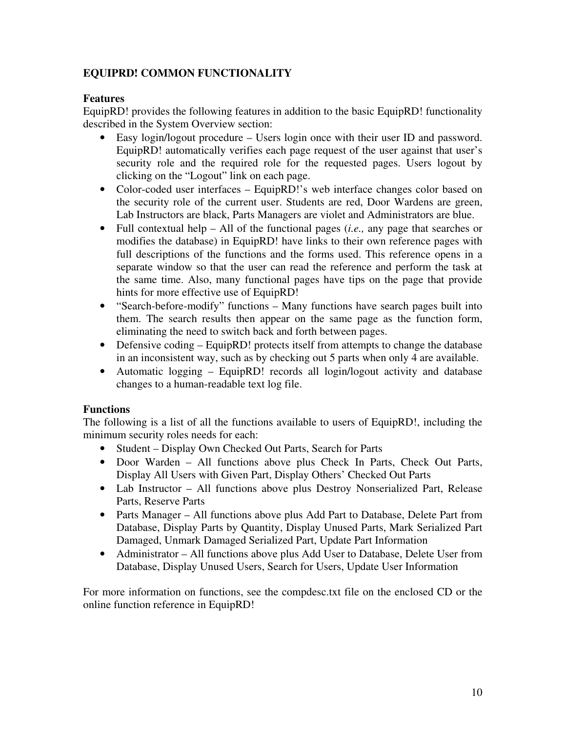# **EQUIPRD! COMMON FUNCTIONALITY**

# **Features**

EquipRD! provides the following features in addition to the basic EquipRD! functionality described in the System Overview section:

- Easy login/logout procedure Users login once with their user ID and password. EquipRD! automatically verifies each page request of the user against that user's security role and the required role for the requested pages. Users logout by clicking on the "Logout" link on each page.
- Color-coded user interfaces EquipRD!'s web interface changes color based on the security role of the current user. Students are red, Door Wardens are green, Lab Instructors are black, Parts Managers are violet and Administrators are blue.
- Full contextual help All of the functional pages (*i.e.,* any page that searches or modifies the database) in EquipRD! have links to their own reference pages with full descriptions of the functions and the forms used. This reference opens in a separate window so that the user can read the reference and perform the task at the same time. Also, many functional pages have tips on the page that provide hints for more effective use of EquipRD!
- "Search-before-modify" functions Many functions have search pages built into them. The search results then appear on the same page as the function form, eliminating the need to switch back and forth between pages.
- Defensive coding EquipRD! protects itself from attempts to change the database in an inconsistent way, such as by checking out 5 parts when only 4 are available.
- Automatic logging EquipRD! records all login/logout activity and database changes to a human-readable text log file.

# **Functions**

The following is a list of all the functions available to users of EquipRD!, including the minimum security roles needs for each:

- Student Display Own Checked Out Parts, Search for Parts
- Door Warden All functions above plus Check In Parts, Check Out Parts, Display All Users with Given Part, Display Others' Checked Out Parts
- Lab Instructor All functions above plus Destroy Nonserialized Part, Release Parts, Reserve Parts
- Parts Manager All functions above plus Add Part to Database, Delete Part from Database, Display Parts by Quantity, Display Unused Parts, Mark Serialized Part Damaged, Unmark Damaged Serialized Part, Update Part Information
- Administrator All functions above plus Add User to Database, Delete User from Database, Display Unused Users, Search for Users, Update User Information

For more information on functions, see the compdesc.txt file on the enclosed CD or the online function reference in EquipRD!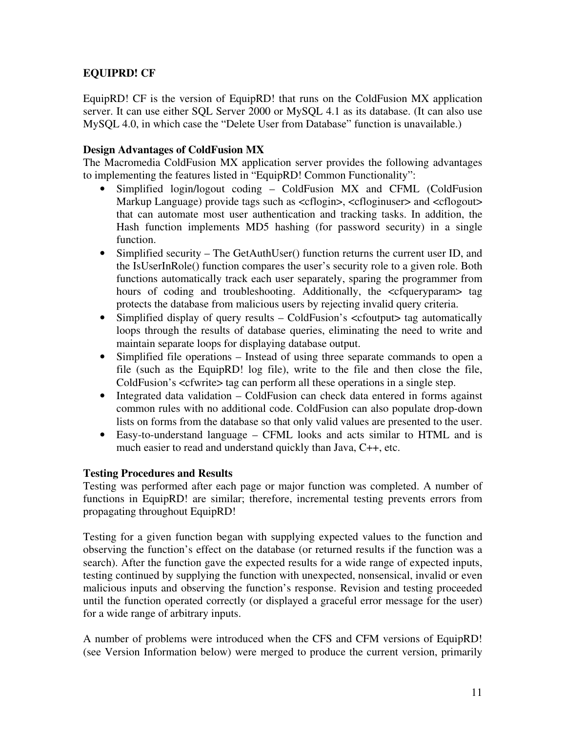# **EQUIPRD! CF**

EquipRD! CF is the version of EquipRD! that runs on the ColdFusion MX application server. It can use either SQL Server 2000 or MySQL 4.1 as its database. (It can also use MySQL 4.0, in which case the "Delete User from Database" function is unavailable.)

# **Design Advantages of ColdFusion MX**

The Macromedia ColdFusion MX application server provides the following advantages to implementing the features listed in "EquipRD! Common Functionality":

- Simplified login/logout coding ColdFusion MX and CFML (ColdFusion Markup Language) provide tags such as  $\langle$ cflogin $\rangle$ ,  $\langle$ cfloginuser $\rangle$  and  $\langle$ cflogout $\rangle$ that can automate most user authentication and tracking tasks. In addition, the Hash function implements MD5 hashing (for password security) in a single function.
- Simplified security The GetAuthUser() function returns the current user ID, and the IsUserInRole() function compares the user's security role to a given role. Both functions automatically track each user separately, sparing the programmer from hours of coding and troubleshooting. Additionally, the  $\leq$ cfqueryparam $>$  tag protects the database from malicious users by rejecting invalid query criteria.
- Simplified display of query results ColdFusion's  $\lt$ cfoutput $\gt$  tag automatically loops through the results of database queries, eliminating the need to write and maintain separate loops for displaying database output.
- Simplified file operations Instead of using three separate commands to open a file (such as the EquipRD! log file), write to the file and then close the file, ColdFusion's <cfwrite> tag can perform all these operations in a single step.
- Integrated data validation ColdFusion can check data entered in forms against common rules with no additional code. ColdFusion can also populate drop-down lists on forms from the database so that only valid values are presented to the user.
- Easy-to-understand language CFML looks and acts similar to HTML and is much easier to read and understand quickly than Java, C++, etc.

# **Testing Procedures and Results**

Testing was performed after each page or major function was completed. A number of functions in EquipRD! are similar; therefore, incremental testing prevents errors from propagating throughout EquipRD!

Testing for a given function began with supplying expected values to the function and observing the function's effect on the database (or returned results if the function was a search). After the function gave the expected results for a wide range of expected inputs, testing continued by supplying the function with unexpected, nonsensical, invalid or even malicious inputs and observing the function's response. Revision and testing proceeded until the function operated correctly (or displayed a graceful error message for the user) for a wide range of arbitrary inputs.

A number of problems were introduced when the CFS and CFM versions of EquipRD! (see Version Information below) were merged to produce the current version, primarily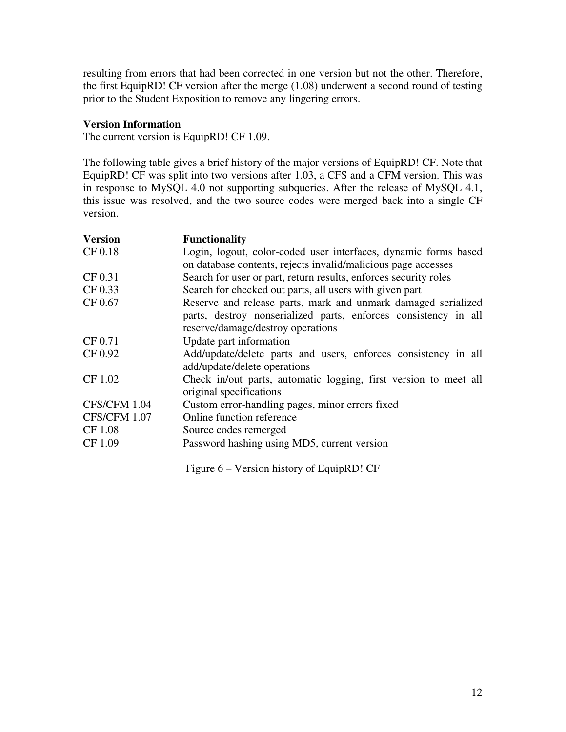resulting from errors that had been corrected in one version but not the other. Therefore, the first EquipRD! CF version after the merge (1.08) underwent a second round of testing prior to the Student Exposition to remove any lingering errors.

#### **Version Information**

The current version is EquipRD! CF 1.09.

The following table gives a brief history of the major versions of EquipRD! CF. Note that EquipRD! CF was split into two versions after 1.03, a CFS and a CFM version. This was in response to MySQL 4.0 not supporting subqueries. After the release of MySQL 4.1, this issue was resolved, and the two source codes were merged back into a single CF version.

| <b>Version</b> | <b>Functionality</b>                                                                                                                                                  |
|----------------|-----------------------------------------------------------------------------------------------------------------------------------------------------------------------|
| CF 0.18        | Login, logout, color-coded user interfaces, dynamic forms based<br>on database contents, rejects invalid/malicious page accesses                                      |
| CF 0.31        | Search for user or part, return results, enforces security roles                                                                                                      |
| CF 0.33        | Search for checked out parts, all users with given part                                                                                                               |
| CF 0.67        | Reserve and release parts, mark and unmark damaged serialized<br>parts, destroy nonserialized parts, enforces consistency in all<br>reserve/damage/destroy operations |
| CF 0.71        | Update part information                                                                                                                                               |
| CF 0.92        | Add/update/delete parts and users, enforces consistency in all<br>add/update/delete operations                                                                        |
| CF 1.02        | Check in/out parts, automatic logging, first version to meet all<br>original specifications                                                                           |
| CFS/CFM 1.04   | Custom error-handling pages, minor errors fixed                                                                                                                       |
| CFS/CFM 1.07   | Online function reference                                                                                                                                             |
| CF 1.08        | Source codes remerged                                                                                                                                                 |
| CF 1.09        | Password hashing using MD5, current version                                                                                                                           |

Figure 6 – Version history of EquipRD! CF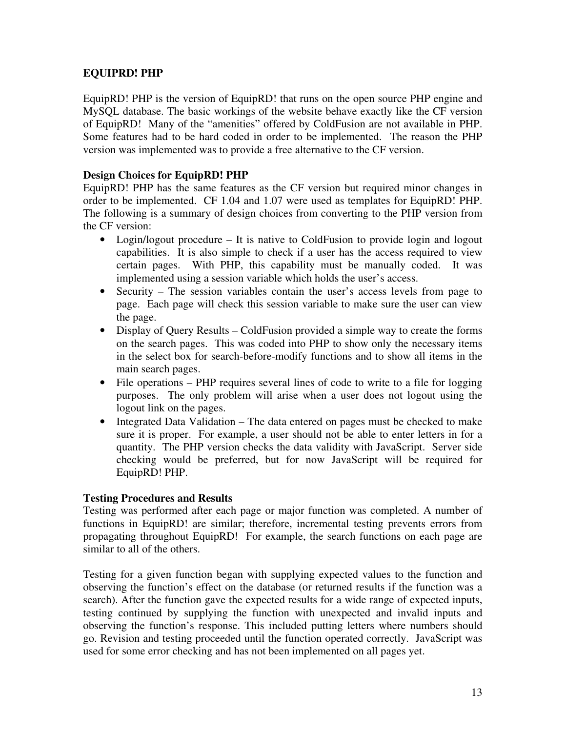# **EQUIPRD! PHP**

EquipRD! PHP is the version of EquipRD! that runs on the open source PHP engine and MySQL database. The basic workings of the website behave exactly like the CF version of EquipRD! Many of the "amenities" offered by ColdFusion are not available in PHP. Some features had to be hard coded in order to be implemented. The reason the PHP version was implemented was to provide a free alternative to the CF version.

# **Design Choices for EquipRD! PHP**

EquipRD! PHP has the same features as the CF version but required minor changes in order to be implemented. CF 1.04 and 1.07 were used as templates for EquipRD! PHP. The following is a summary of design choices from converting to the PHP version from the CF version:

- Login/logout procedure It is native to ColdFusion to provide login and logout capabilities. It is also simple to check if a user has the access required to view certain pages. With PHP, this capability must be manually coded. It was implemented using a session variable which holds the user's access.
- Security The session variables contain the user's access levels from page to page. Each page will check this session variable to make sure the user can view the page.
- Display of Query Results ColdFusion provided a simple way to create the forms on the search pages. This was coded into PHP to show only the necessary items in the select box for search-before-modify functions and to show all items in the main search pages.
- File operations PHP requires several lines of code to write to a file for logging purposes. The only problem will arise when a user does not logout using the logout link on the pages.
- Integrated Data Validation The data entered on pages must be checked to make sure it is proper. For example, a user should not be able to enter letters in for a quantity. The PHP version checks the data validity with JavaScript. Server side checking would be preferred, but for now JavaScript will be required for EquipRD! PHP.

# **Testing Procedures and Results**

Testing was performed after each page or major function was completed. A number of functions in EquipRD! are similar; therefore, incremental testing prevents errors from propagating throughout EquipRD! For example, the search functions on each page are similar to all of the others.

Testing for a given function began with supplying expected values to the function and observing the function's effect on the database (or returned results if the function was a search). After the function gave the expected results for a wide range of expected inputs, testing continued by supplying the function with unexpected and invalid inputs and observing the function's response. This included putting letters where numbers should go. Revision and testing proceeded until the function operated correctly. JavaScript was used for some error checking and has not been implemented on all pages yet.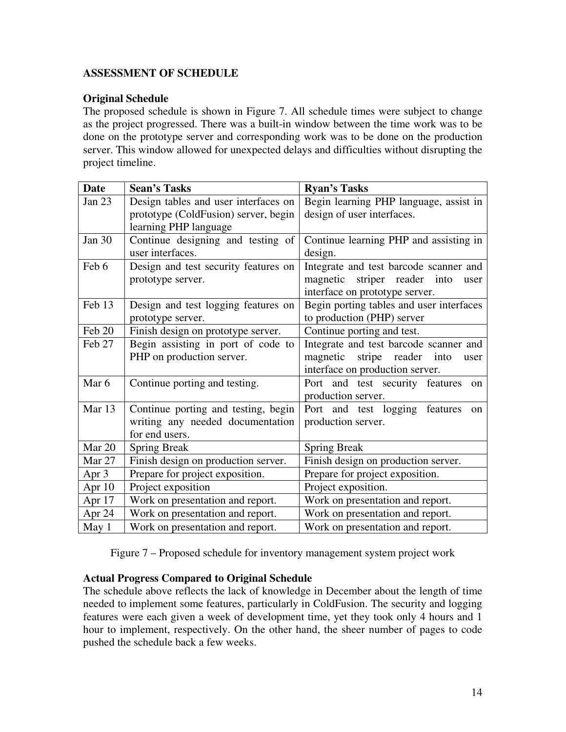# **ASSESSMENT OF SCHEDULE**

# **Original Schedule**

The proposed schedule is shown in Figure 7. All schedule times were subject to change as the project progressed. There was a built-in window between the time work was to be done on the prototype server and corresponding work was to be done on the production server. This window allowed for unexpected delays and difficulties without disrupting the project timeline.

| <b>Date</b>      | <b>Sean's Tasks</b>                  | <b>Ryan's Tasks</b>                             |
|------------------|--------------------------------------|-------------------------------------------------|
| Jan 23           | Design tables and user interfaces on | Begin learning PHP language, assist in          |
|                  | prototype (ColdFusion) server, begin | design of user interfaces.                      |
|                  | learning PHP language                |                                                 |
| Jan 30           | Continue designing and testing of    | Continue learning PHP and assisting in          |
|                  | user interfaces.                     | design.                                         |
| Feb 6            | Design and test security features on | Integrate and test barcode scanner and          |
|                  | prototype server.                    | magnetic striper reader into<br>user            |
|                  |                                      | interface on prototype server.                  |
| Feb 13           | Design and test logging features on  | Begin porting tables and user interfaces        |
|                  | prototype server.                    | to production (PHP) server                      |
| Feb 20           | Finish design on prototype server.   | Continue porting and test.                      |
| Feb 27           | Begin assisting in port of code to   | Integrate and test barcode scanner and          |
|                  | PHP on production server.            | stripe<br>magnetic<br>reader into<br>user       |
|                  |                                      | interface on production server.                 |
| Mar 6            | Continue porting and testing.        | Port and test security features<br>on           |
|                  |                                      | production server.                              |
| Mar 13           | Continue porting and testing, begin  | Port and test logging features<br><sub>on</sub> |
|                  | writing any needed documentation     | production server.                              |
|                  | for end users.                       |                                                 |
| Mar 20           | <b>Spring Break</b>                  | <b>Spring Break</b>                             |
| Mar 27           | Finish design on production server.  | Finish design on production server.             |
| Apr $3$          | Prepare for project exposition.      | Prepare for project exposition.                 |
| Apr 10           | Project exposition                   | Project exposition.                             |
| Apr $17$         | Work on presentation and report.     | Work on presentation and report.                |
| Apr 24           | Work on presentation and report.     | Work on presentation and report.                |
| May <sub>1</sub> | Work on presentation and report.     | Work on presentation and report.                |

Figure 7 – Proposed schedule for inventory management system project work

# **Actual Progress Compared to Original Schedule**

The schedule above reflects the lack of knowledge in December about the length of time needed to implement some features, particularly in ColdFusion. The security and logging features were each given a week of development time, yet they took only 4 hours and 1 hour to implement, respectively. On the other hand, the sheer number of pages to code pushed the schedule back a few weeks.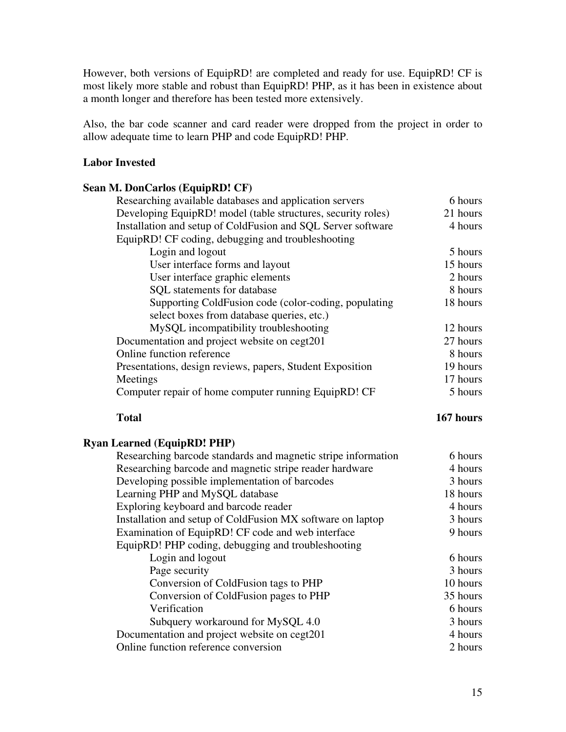However, both versions of EquipRD! are completed and ready for use. EquipRD! CF is most likely more stable and robust than EquipRD! PHP, as it has been in existence about a month longer and therefore has been tested more extensively.

Also, the bar code scanner and card reader were dropped from the project in order to allow adequate time to learn PHP and code EquipRD! PHP.

# **Labor Invested**

#### **Sean M. DonCarlos (EquipRD! CF)**

| Researching available databases and application servers      | 6 hours  |
|--------------------------------------------------------------|----------|
| Developing EquipRD! model (table structures, security roles) | 21 hours |
| Installation and setup of ColdFusion and SQL Server software | 4 hours  |
| EquipRD! CF coding, debugging and troubleshooting            |          |
| Login and logout                                             | 5 hours  |
| User interface forms and layout                              | 15 hours |
| User interface graphic elements                              | 2 hours  |
| SQL statements for database                                  | 8 hours  |
| Supporting ColdFusion code (color-coding, populating         | 18 hours |
| select boxes from database queries, etc.)                    |          |
| MySQL incompatibility troubleshooting                        | 12 hours |
| Documentation and project website on cegt201                 | 27 hours |
| Online function reference                                    | 8 hours  |
| Presentations, design reviews, papers, Student Exposition    | 19 hours |
| Meetings                                                     | 17 hours |
| Computer repair of home computer running EquipRD! CF         | 5 hours  |
|                                                              |          |

# **Total 167 hours**

# **Ryan Learned (EquipRD! PHP)**

| Researching barcode standards and magnetic stripe information | 6 hours  |
|---------------------------------------------------------------|----------|
| Researching barcode and magnetic stripe reader hardware       | 4 hours  |
| Developing possible implementation of barcodes                | 3 hours  |
| Learning PHP and MySQL database                               | 18 hours |
| Exploring keyboard and barcode reader                         | 4 hours  |
| Installation and setup of ColdFusion MX software on laptop    | 3 hours  |
| Examination of EquipRD! CF code and web interface             | 9 hours  |
| EquipRD! PHP coding, debugging and troubleshooting            |          |
| Login and logout                                              | 6 hours  |
| Page security                                                 | 3 hours  |
| Conversion of ColdFusion tags to PHP                          | 10 hours |
| Conversion of ColdFusion pages to PHP                         | 35 hours |
| Verification                                                  | 6 hours  |
| Subquery workaround for MySQL 4.0                             | 3 hours  |
| Documentation and project website on cegt201                  | 4 hours  |
| Online function reference conversion                          | 2 hours  |
|                                                               |          |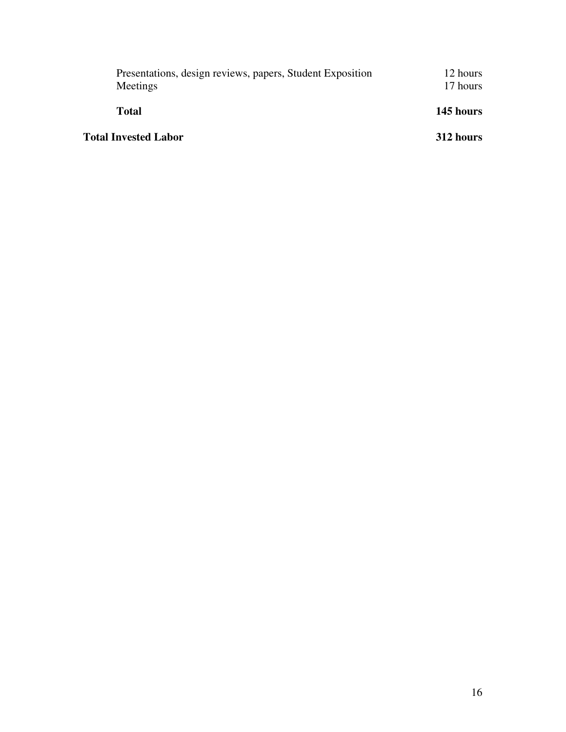| Presentations, design reviews, papers, Student Exposition<br>Meetings | 12 hours<br>17 hours |  |
|-----------------------------------------------------------------------|----------------------|--|
| <b>Total</b>                                                          | 145 hours            |  |
| <b>Total Invested Labor</b>                                           | 312 hours            |  |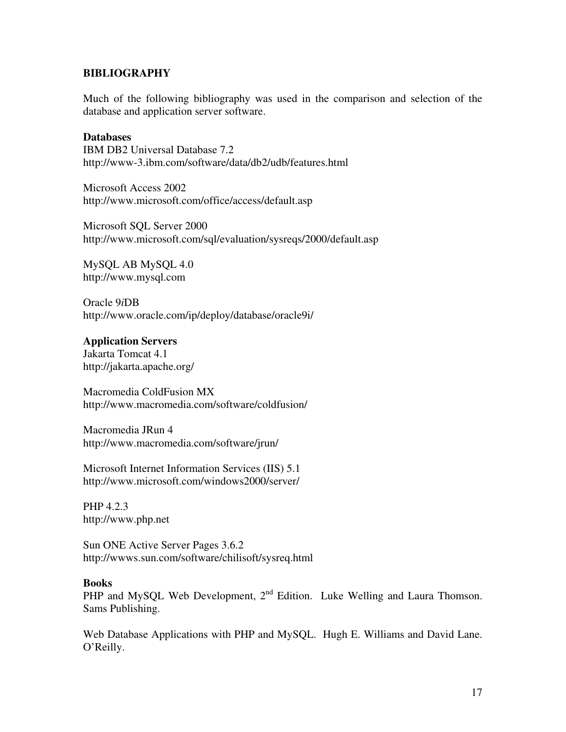#### **BIBLIOGRAPHY**

Much of the following bibliography was used in the comparison and selection of the database and application server software.

#### **Databases**

IBM DB2 Universal Database 7.2 http://www-3.ibm.com/software/data/db2/udb/features.html

Microsoft Access 2002 http://www.microsoft.com/office/access/default.asp

Microsoft SQL Server 2000 http://www.microsoft.com/sql/evaluation/sysreqs/2000/default.asp

MySQL AB MySQL 4.0 http://www.mysql.com

Oracle 9*i*DB http://www.oracle.com/ip/deploy/database/oracle9i/

#### **Application Servers**

Jakarta Tomcat 4.1 http://jakarta.apache.org/

Macromedia ColdFusion MX http://www.macromedia.com/software/coldfusion/

Macromedia JRun 4 http://www.macromedia.com/software/jrun/

Microsoft Internet Information Services (IIS) 5.1 http://www.microsoft.com/windows2000/server/

PHP 4.2.3 http://www.php.net

Sun ONE Active Server Pages 3.6.2 http://wwws.sun.com/software/chilisoft/sysreq.html

#### **Books**

PHP and MySQL Web Development,  $2<sup>nd</sup>$  Edition. Luke Welling and Laura Thomson. Sams Publishing.

Web Database Applications with PHP and MySQL. Hugh E. Williams and David Lane. O'Reilly.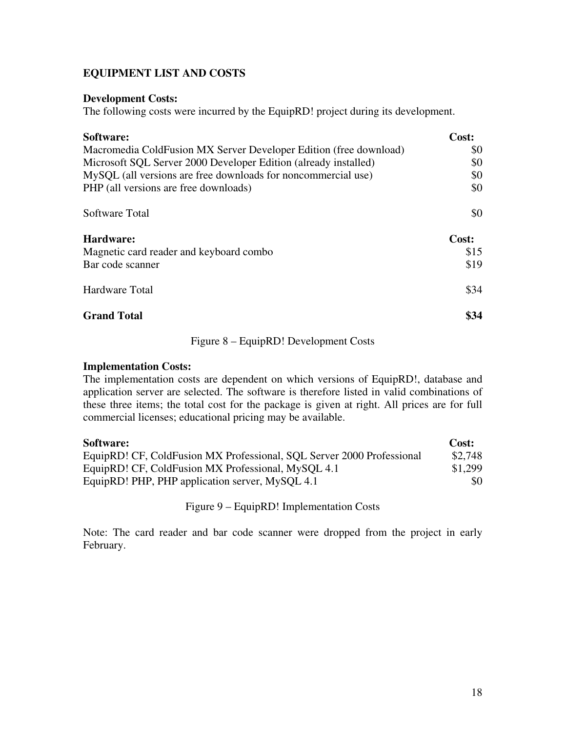# **EQUIPMENT LIST AND COSTS**

#### **Development Costs:**

The following costs were incurred by the EquipRD! project during its development.

| Software:                                                         | Cost: |
|-------------------------------------------------------------------|-------|
| Macromedia ColdFusion MX Server Developer Edition (free download) | \$0   |
| Microsoft SQL Server 2000 Developer Edition (already installed)   | \$0   |
| MySQL (all versions are free downloads for noncommercial use)     | \$0   |
| PHP (all versions are free downloads)                             | \$0   |
| Software Total                                                    | \$0   |
| Hardware:                                                         | Cost: |
| Magnetic card reader and keyboard combo                           | \$15  |
| Bar code scanner                                                  | \$19  |
| Hardware Total                                                    | \$34  |
| <b>Grand Total</b>                                                | \$34  |

Figure 8 – EquipRD! Development Costs

#### **Implementation Costs:**

The implementation costs are dependent on which versions of EquipRD!, database and application server are selected. The software is therefore listed in valid combinations of these three items; the total cost for the package is given at right. All prices are for full commercial licenses; educational pricing may be available.

| Software:                                                             |         |
|-----------------------------------------------------------------------|---------|
| EquipRD! CF, ColdFusion MX Professional, SQL Server 2000 Professional | \$2,748 |
| EquipRD! CF, ColdFusion MX Professional, MySQL 4.1                    | \$1,299 |
| EquipRD! PHP, PHP application server, MySQL 4.1                       | \$0     |

Figure 9 – EquipRD! Implementation Costs

Note: The card reader and bar code scanner were dropped from the project in early February.